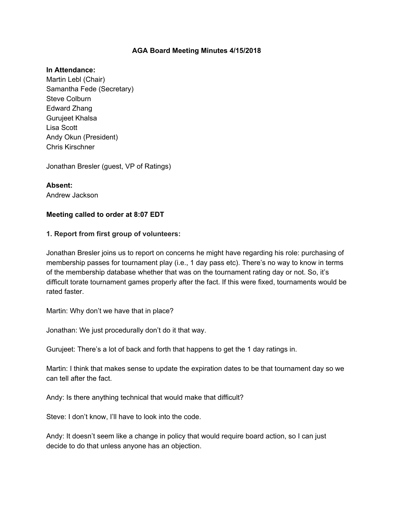#### **AGA Board Meeting Minutes 4/15/2018**

#### **In Attendance:**

Martin Lebl (Chair) Samantha Fede (Secretary) Steve Colburn Edward Zhang Gurujeet Khalsa Lisa Scott Andy Okun (President) Chris Kirschner

Jonathan Bresler (guest, VP of Ratings)

**Absent:** Andrew Jackson

#### **Meeting called to order at 8:07 EDT**

#### **1. Report from first group of volunteers:**

Jonathan Bresler joins us to report on concerns he might have regarding his role: purchasing of membership passes for tournament play (i.e., 1 day pass etc). There's no way to know in terms of the membership database whether that was on the tournament rating day or not. So, it's difficult torate tournament games properly after the fact. If this were fixed, tournaments would be rated faster.

Martin: Why don't we have that in place?

Jonathan: We just procedurally don't do it that way.

Gurujeet: There's a lot of back and forth that happens to get the 1 day ratings in.

Martin: I think that makes sense to update the expiration dates to be that tournament day so we can tell after the fact.

Andy: Is there anything technical that would make that difficult?

Steve: I don't know, I'll have to look into the code.

Andy: It doesn't seem like a change in policy that would require board action, so I can just decide to do that unless anyone has an objection.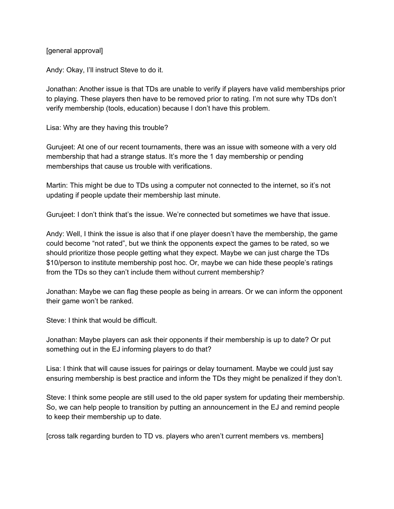[general approval]

Andy: Okay, I'll instruct Steve to do it.

Jonathan: Another issue is that TDs are unable to verify if players have valid memberships prior to playing. These players then have to be removed prior to rating. I'm not sure why TDs don't verify membership (tools, education) because I don't have this problem.

Lisa: Why are they having this trouble?

Gurujeet: At one of our recent tournaments, there was an issue with someone with a very old membership that had a strange status. It's more the 1 day membership or pending memberships that cause us trouble with verifications.

Martin: This might be due to TDs using a computer not connected to the internet, so it's not updating if people update their membership last minute.

Gurujeet: I don't think that's the issue. We're connected but sometimes we have that issue.

Andy: Well, I think the issue is also that if one player doesn't have the membership, the game could become "not rated", but we think the opponents expect the games to be rated, so we should prioritize those people getting what they expect. Maybe we can just charge the TDs \$10/person to institute membership post hoc. Or, maybe we can hide these people's ratings from the TDs so they can't include them without current membership?

Jonathan: Maybe we can flag these people as being in arrears. Or we can inform the opponent their game won't be ranked.

Steve: I think that would be difficult.

Jonathan: Maybe players can ask their opponents if their membership is up to date? Or put something out in the EJ informing players to do that?

Lisa: I think that will cause issues for pairings or delay tournament. Maybe we could just say ensuring membership is best practice and inform the TDs they might be penalized if they don't.

Steve: I think some people are still used to the old paper system for updating their membership. So, we can help people to transition by putting an announcement in the EJ and remind people to keep their membership up to date.

[cross talk regarding burden to TD vs. players who aren't current members vs. members]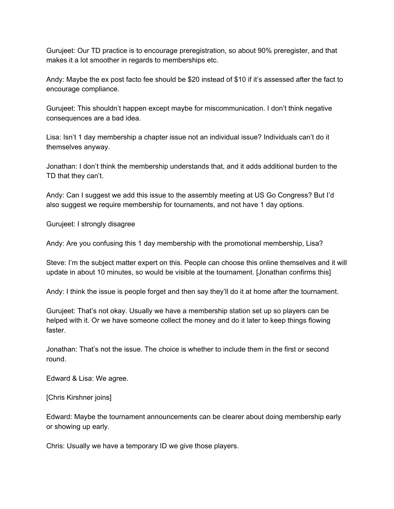Gurujeet: Our TD practice is to encourage preregistration, so about 90% preregister, and that makes it a lot smoother in regards to memberships etc.

Andy: Maybe the ex post facto fee should be \$20 instead of \$10 if it's assessed after the fact to encourage compliance.

Gurujeet: This shouldn't happen except maybe for miscommunication. I don't think negative consequences are a bad idea.

Lisa: Isn't 1 day membership a chapter issue not an individual issue? Individuals can't do it themselves anyway.

Jonathan: I don't think the membership understands that, and it adds additional burden to the TD that they can't.

Andy: Can I suggest we add this issue to the assembly meeting at US Go Congress? But I'd also suggest we require membership for tournaments, and not have 1 day options.

Gurujeet: I strongly disagree

Andy: Are you confusing this 1 day membership with the promotional membership, Lisa?

Steve: I'm the subject matter expert on this. People can choose this online themselves and it will update in about 10 minutes, so would be visible at the tournament. [Jonathan confirms this]

Andy: I think the issue is people forget and then say they'll do it at home after the tournament.

Gurujeet: That's not okay. Usually we have a membership station set up so players can be helped with it. Or we have someone collect the money and do it later to keep things flowing faster.

Jonathan: That's not the issue. The choice is whether to include them in the first or second round.

Edward & Lisa: We agree.

[Chris Kirshner joins]

Edward: Maybe the tournament announcements can be clearer about doing membership early or showing up early.

Chris: Usually we have a temporary ID we give those players.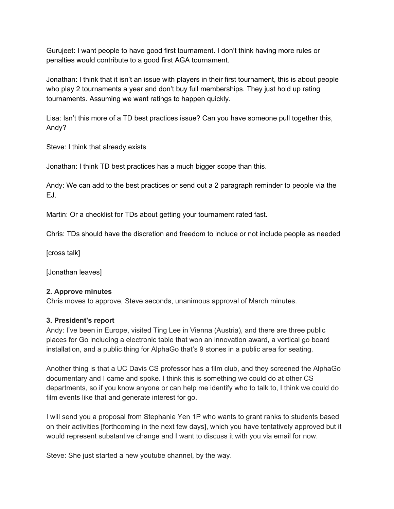Gurujeet: I want people to have good first tournament. I don't think having more rules or penalties would contribute to a good first AGA tournament.

Jonathan: I think that it isn't an issue with players in their first tournament, this is about people who play 2 tournaments a year and don't buy full memberships. They just hold up rating tournaments. Assuming we want ratings to happen quickly.

Lisa: Isn't this more of a TD best practices issue? Can you have someone pull together this, Andy?

Steve: I think that already exists

Jonathan: I think TD best practices has a much bigger scope than this.

Andy: We can add to the best practices or send out a 2 paragraph reminder to people via the EJ.

Martin: Or a checklist for TDs about getting your tournament rated fast.

Chris: TDs should have the discretion and freedom to include or not include people as needed

[cross talk]

[Jonathan leaves]

### **2. Approve minutes**

Chris moves to approve, Steve seconds, unanimous approval of March minutes.

### **3. President's report**

Andy: I've been in Europe, visited Ting Lee in Vienna (Austria), and there are three public places for Go including a electronic table that won an innovation award, a vertical go board installation, and a public thing for AlphaGo that's 9 stones in a public area for seating.

Another thing is that a UC Davis CS professor has a film club, and they screened the AlphaGo documentary and I came and spoke. I think this is something we could do at other CS departments, so if you know anyone or can help me identify who to talk to, I think we could do film events like that and generate interest for go.

I will send you a proposal from Stephanie Yen 1P who wants to grant ranks to students based on their activities [forthcoming in the next few days], which you have tentatively approved but it would represent substantive change and I want to discuss it with you via email for now.

Steve: She just started a new youtube channel, by the way.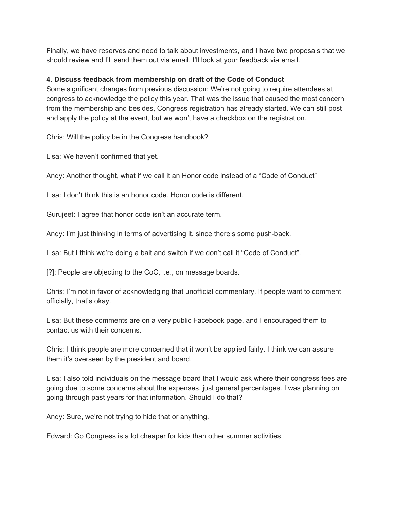Finally, we have reserves and need to talk about investments, and I have two proposals that we should review and I'll send them out via email. I'll look at your feedback via email.

### **4. Discuss feedback from membership on draft of the Code of Conduct**

Some significant changes from previous discussion: We're not going to require attendees at congress to acknowledge the policy this year. That was the issue that caused the most concern from the membership and besides, Congress registration has already started. We can still post and apply the policy at the event, but we won't have a checkbox on the registration.

Chris: Will the policy be in the Congress handbook?

Lisa: We haven't confirmed that yet.

Andy: Another thought, what if we call it an Honor code instead of a "Code of Conduct"

Lisa: I don't think this is an honor code. Honor code is different.

Gurujeet: I agree that honor code isn't an accurate term.

Andy: I'm just thinking in terms of advertising it, since there's some push-back.

Lisa: But I think we're doing a bait and switch if we don't call it "Code of Conduct".

[?]: People are objecting to the CoC, i.e., on message boards.

Chris: I'm not in favor of acknowledging that unofficial commentary. If people want to comment officially, that's okay.

Lisa: But these comments are on a very public Facebook page, and I encouraged them to contact us with their concerns.

Chris: I think people are more concerned that it won't be applied fairly. I think we can assure them it's overseen by the president and board.

Lisa: I also told individuals on the message board that I would ask where their congress fees are going due to some concerns about the expenses, just general percentages. I was planning on going through past years for that information. Should I do that?

Andy: Sure, we're not trying to hide that or anything.

Edward: Go Congress is a lot cheaper for kids than other summer activities.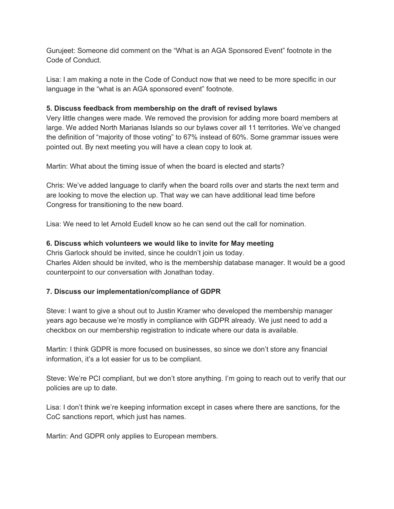Gurujeet: Someone did comment on the "What is an AGA Sponsored Event" footnote in the Code of Conduct.

Lisa: I am making a note in the Code of Conduct now that we need to be more specific in our language in the "what is an AGA sponsored event" footnote.

### **5. Discuss feedback from membership on the draft of revised bylaws**

Very little changes were made. We removed the provision for adding more board members at large. We added North Marianas Islands so our bylaws cover all 11 territories. We've changed the definition of "majority of those voting" to 67% instead of 60%. Some grammar issues were pointed out. By next meeting you will have a clean copy to look at.

Martin: What about the timing issue of when the board is elected and starts?

Chris: We've added language to clarify when the board rolls over and starts the next term and are looking to move the election up. That way we can have additional lead time before Congress for transitioning to the new board.

Lisa: We need to let Arnold Eudell know so he can send out the call for nomination.

## **6. Discuss which volunteers we would like to invite for May meeting**

Chris Garlock should be invited, since he couldn't join us today. Charles Alden should be invited, who is the membership database manager. It would be a good counterpoint to our conversation with Jonathan today.

# **7. Discuss our implementation/compliance of GDPR**

Steve: I want to give a shout out to Justin Kramer who developed the membership manager years ago because we're mostly in compliance with GDPR already. We just need to add a checkbox on our membership registration to indicate where our data is available.

Martin: I think GDPR is more focused on businesses, so since we don't store any financial information, it's a lot easier for us to be compliant.

Steve: We're PCI compliant, but we don't store anything. I'm going to reach out to verify that our policies are up to date.

Lisa: I don't think we're keeping information except in cases where there are sanctions, for the CoC sanctions report, which just has names.

Martin: And GDPR only applies to European members.